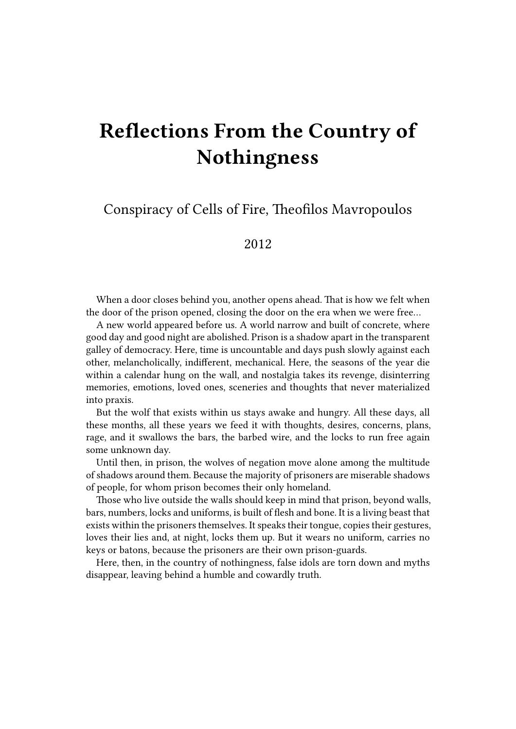## **Reflections From the Country of Nothingness**

Conspiracy of Cells of Fire, Theofilos Mavropoulos

2012

When a door closes behind you, another opens ahead. That is how we felt when the door of the prison opened, closing the door on the era when we were free…

A new world appeared before us. A world narrow and built of concrete, where good day and good night are abolished. Prison is a shadow apart in the transparent galley of democracy. Here, time is uncountable and days push slowly against each other, melancholically, indifferent, mechanical. Here, the seasons of the year die within a calendar hung on the wall, and nostalgia takes its revenge, disinterring memories, emotions, loved ones, sceneries and thoughts that never materialized into praxis.

But the wolf that exists within us stays awake and hungry. All these days, all these months, all these years we feed it with thoughts, desires, concerns, plans, rage, and it swallows the bars, the barbed wire, and the locks to run free again some unknown day.

Until then, in prison, the wolves of negation move alone among the multitude of shadows around them. Because the majority of prisoners are miserable shadows of people, for whom prison becomes their only homeland.

Those who live outside the walls should keep in mind that prison, beyond walls, bars, numbers, locks and uniforms, is built of flesh and bone. It is a living beast that exists within the prisoners themselves. It speaks their tongue, copies their gestures, loves their lies and, at night, locks them up. But it wears no uniform, carries no keys or batons, because the prisoners are their own prison-guards.

Here, then, in the country of nothingness, false idols are torn down and myths disappear, leaving behind a humble and cowardly truth.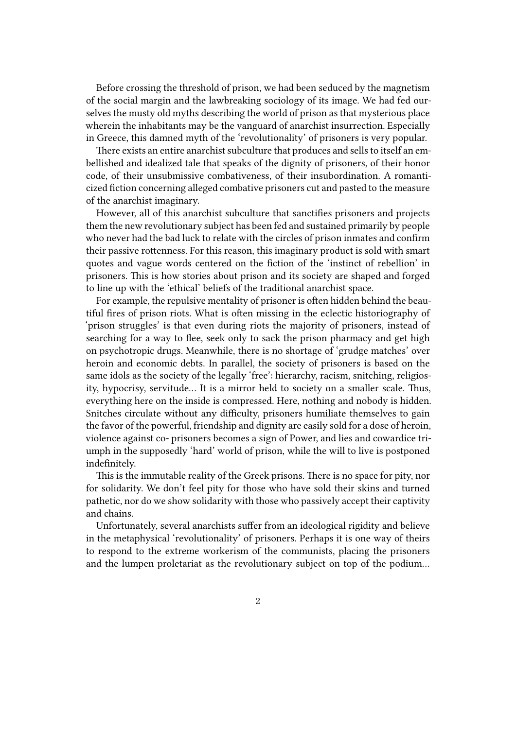Before crossing the threshold of prison, we had been seduced by the magnetism of the social margin and the lawbreaking sociology of its image. We had fed ourselves the musty old myths describing the world of prison as that mysterious place wherein the inhabitants may be the vanguard of anarchist insurrection. Especially in Greece, this damned myth of the 'revolutionality' of prisoners is very popular.

There exists an entire anarchist subculture that produces and sells to itself an embellished and idealized tale that speaks of the dignity of prisoners, of their honor code, of their unsubmissive combativeness, of their insubordination. A romanticized fiction concerning alleged combative prisoners cut and pasted to the measure of the anarchist imaginary.

However, all of this anarchist subculture that sanctifies prisoners and projects them the new revolutionary subject has been fed and sustained primarily by people who never had the bad luck to relate with the circles of prison inmates and confirm their passive rottenness. For this reason, this imaginary product is sold with smart quotes and vague words centered on the fiction of the 'instinct of rebellion' in prisoners. This is how stories about prison and its society are shaped and forged to line up with the 'ethical' beliefs of the traditional anarchist space.

For example, the repulsive mentality of prisoner is often hidden behind the beautiful fires of prison riots. What is often missing in the eclectic historiography of 'prison struggles' is that even during riots the majority of prisoners, instead of searching for a way to flee, seek only to sack the prison pharmacy and get high on psychotropic drugs. Meanwhile, there is no shortage of 'grudge matches' over heroin and economic debts. In parallel, the society of prisoners is based on the same idols as the society of the legally 'free': hierarchy, racism, snitching, religiosity, hypocrisy, servitude… It is a mirror held to society on a smaller scale. Thus, everything here on the inside is compressed. Here, nothing and nobody is hidden. Snitches circulate without any difficulty, prisoners humiliate themselves to gain the favor of the powerful, friendship and dignity are easily sold for a dose of heroin, violence against co- prisoners becomes a sign of Power, and lies and cowardice triumph in the supposedly 'hard' world of prison, while the will to live is postponed indefinitely.

This is the immutable reality of the Greek prisons. There is no space for pity, nor for solidarity. We don't feel pity for those who have sold their skins and turned pathetic, nor do we show solidarity with those who passively accept their captivity and chains.

Unfortunately, several anarchists suffer from an ideological rigidity and believe in the metaphysical 'revolutionality' of prisoners. Perhaps it is one way of theirs to respond to the extreme workerism of the communists, placing the prisoners and the lumpen proletariat as the revolutionary subject on top of the podium…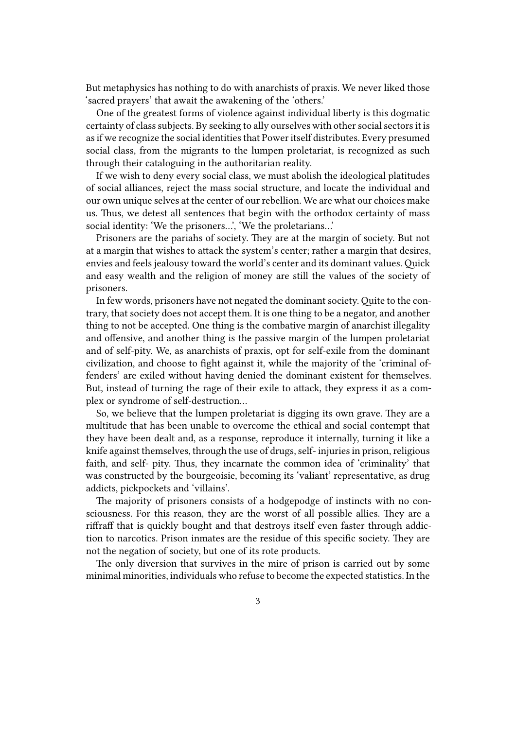But metaphysics has nothing to do with anarchists of praxis. We never liked those 'sacred prayers' that await the awakening of the 'others.'

One of the greatest forms of violence against individual liberty is this dogmatic certainty of class subjects. By seeking to ally ourselves with other social sectors it is as if we recognize the social identities that Power itself distributes. Every presumed social class, from the migrants to the lumpen proletariat, is recognized as such through their cataloguing in the authoritarian reality.

If we wish to deny every social class, we must abolish the ideological platitudes of social alliances, reject the mass social structure, and locate the individual and our own unique selves at the center of our rebellion. We are what our choices make us. Thus, we detest all sentences that begin with the orthodox certainty of mass social identity: 'We the prisoners…', 'We the proletarians…'

Prisoners are the pariahs of society. They are at the margin of society. But not at a margin that wishes to attack the system's center; rather a margin that desires, envies and feels jealousy toward the world's center and its dominant values.Quick and easy wealth and the religion of money are still the values of the society of prisoners.

In few words, prisoners have not negated the dominant society.Quite to the contrary, that society does not accept them. It is one thing to be a negator, and another thing to not be accepted. One thing is the combative margin of anarchist illegality and offensive, and another thing is the passive margin of the lumpen proletariat and of self-pity. We, as anarchists of praxis, opt for self-exile from the dominant civilization, and choose to fight against it, while the majority of the 'criminal offenders' are exiled without having denied the dominant existent for themselves. But, instead of turning the rage of their exile to attack, they express it as a complex or syndrome of self-destruction…

So, we believe that the lumpen proletariat is digging its own grave. They are a multitude that has been unable to overcome the ethical and social contempt that they have been dealt and, as a response, reproduce it internally, turning it like a knife against themselves, through the use of drugs, self- injuries in prison, religious faith, and self- pity. Thus, they incarnate the common idea of 'criminality' that was constructed by the bourgeoisie, becoming its 'valiant' representative, as drug addicts, pickpockets and 'villains'.

The majority of prisoners consists of a hodgepodge of instincts with no consciousness. For this reason, they are the worst of all possible allies. They are a riffraff that is quickly bought and that destroys itself even faster through addiction to narcotics. Prison inmates are the residue of this specific society. They are not the negation of society, but one of its rote products.

The only diversion that survives in the mire of prison is carried out by some minimal minorities, individuals who refuse to become the expected statistics. In the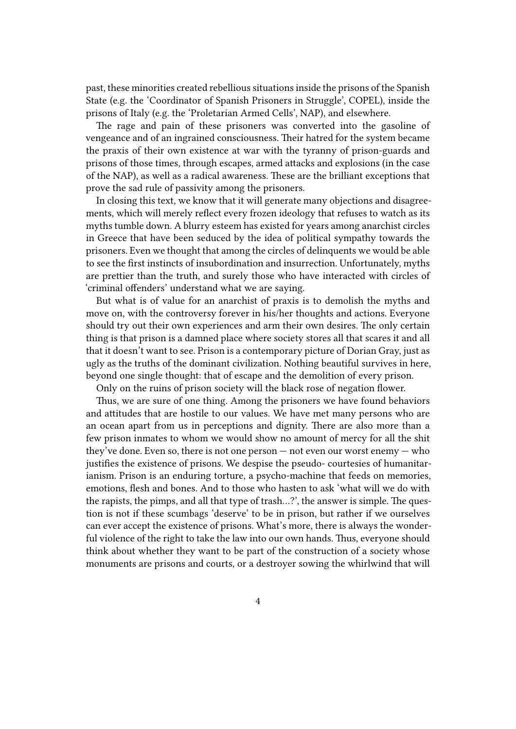past, these minorities created rebellious situations inside the prisons of the Spanish State (e.g. the 'Coordinator of Spanish Prisoners in Struggle', COPEL), inside the prisons of Italy (e.g. the 'Proletarian Armed Cells', NAP), and elsewhere.

The rage and pain of these prisoners was converted into the gasoline of vengeance and of an ingrained consciousness. Their hatred for the system became the praxis of their own existence at war with the tyranny of prison-guards and prisons of those times, through escapes, armed attacks and explosions (in the case of the NAP), as well as a radical awareness. These are the brilliant exceptions that prove the sad rule of passivity among the prisoners.

In closing this text, we know that it will generate many objections and disagreements, which will merely reflect every frozen ideology that refuses to watch as its myths tumble down. A blurry esteem has existed for years among anarchist circles in Greece that have been seduced by the idea of political sympathy towards the prisoners. Even we thought that among the circles of delinquents we would be able to see the first instincts of insubordination and insurrection. Unfortunately, myths are prettier than the truth, and surely those who have interacted with circles of 'criminal offenders' understand what we are saying.

But what is of value for an anarchist of praxis is to demolish the myths and move on, with the controversy forever in his/her thoughts and actions. Everyone should try out their own experiences and arm their own desires. The only certain thing is that prison is a damned place where society stores all that scares it and all that it doesn't want to see. Prison is a contemporary picture of Dorian Gray, just as ugly as the truths of the dominant civilization. Nothing beautiful survives in here, beyond one single thought: that of escape and the demolition of every prison.

Only on the ruins of prison society will the black rose of negation flower.

Thus, we are sure of one thing. Among the prisoners we have found behaviors and attitudes that are hostile to our values. We have met many persons who are an ocean apart from us in perceptions and dignity. There are also more than a few prison inmates to whom we would show no amount of mercy for all the shit they've done. Even so, there is not one person — not even our worst enemy — who justifies the existence of prisons. We despise the pseudo- courtesies of humanitarianism. Prison is an enduring torture, a psycho-machine that feeds on memories, emotions, flesh and bones. And to those who hasten to ask 'what will we do with the rapists, the pimps, and all that type of trash…?', the answer is simple. The question is not if these scumbags 'deserve' to be in prison, but rather if we ourselves can ever accept the existence of prisons. What's more, there is always the wonderful violence of the right to take the law into our own hands. Thus, everyone should think about whether they want to be part of the construction of a society whose monuments are prisons and courts, or a destroyer sowing the whirlwind that will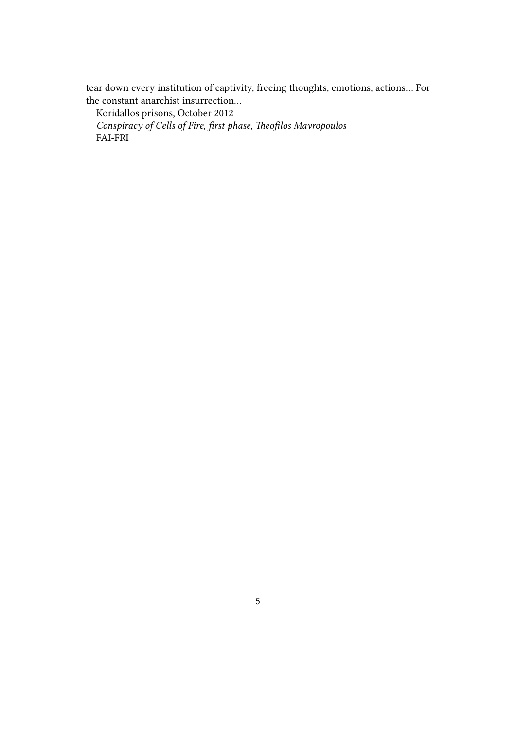tear down every institution of captivity, freeing thoughts, emotions, actions… For the constant anarchist insurrection…

Koridallos prisons, October 2012

*Conspiracy of Cells of Fire, first phase, Theofilos Mavropoulos* FAI-FRI